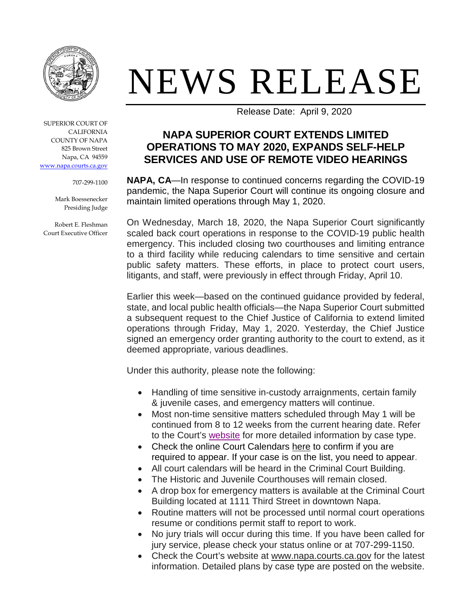

SUPERIOR COURT OF CALIFORNIA COUNTY OF NAPA 825 Brown Street Napa, CA 94559 [www.napa.courts.ca.gov](http://www.napa.courts.ca.gov/)

707-299-1100

Mark Boessenecker Presiding Judge

Robert E. Fleshman Court Executive Officer

## NEWS RELEASE

Release Date: April 9, 2020

## **NAPA SUPERIOR COURT EXTENDS LIMITED OPERATIONS TO MAY 2020, EXPANDS SELF-HELP SERVICES AND USE OF REMOTE VIDEO HEARINGS**

**NAPA, CA**—In response to continued concerns regarding the COVID-19 pandemic, the Napa Superior Court will continue its ongoing closure and maintain limited operations through May 1, 2020.

On Wednesday, March 18, 2020, the Napa Superior Court significantly scaled back court operations in response to the COVID-19 public health emergency. This included closing two courthouses and limiting entrance to a third facility while reducing calendars to time sensitive and certain public safety matters. These efforts, in place to protect court users, litigants, and staff, were previously in effect through Friday, April 10.

Earlier this week—based on the continued guidance provided by federal, state, and local public health officials—the Napa Superior Court submitted a subsequent request to the Chief Justice of California to extend limited operations through Friday, May 1, 2020. Yesterday, the Chief Justice signed an emergency order granting authority to the court to extend, as it deemed appropriate, various deadlines.

Under this authority, please note the following:

- Handling of time sensitive in-custody arraignments, certain family & juvenile cases, and emergency matters will continue.
- Most non-time sensitive matters scheduled through May 1 will be continued from 8 to 12 weeks from the current hearing date. Refer to the Court's [website](http://www.napa.courts.ca.gov/) for more detailed information by case type.
- Check the online Court Calendars [here](http://www.napacourt.com/court/calendars) to confirm if you are required to appear. If your case is on the list, you need to appear.
- All court calendars will be heard in the Criminal Court Building.
- The Historic and Juvenile Courthouses will remain closed.
- A drop box for emergency matters is available at the Criminal Court Building located at 1111 Third Street in downtown Napa.
- Routine matters will not be processed until normal court operations resume or conditions permit staff to report to work.
- No jury trials will occur during this time. If you have been called for jury service, please check your status online or at 707-299-1150.
- Check the Court's website at [www.napa.courts.ca.gov](http://www.napa.courts.ca.gov/) for the latest information. Detailed plans by case type are posted on the website.